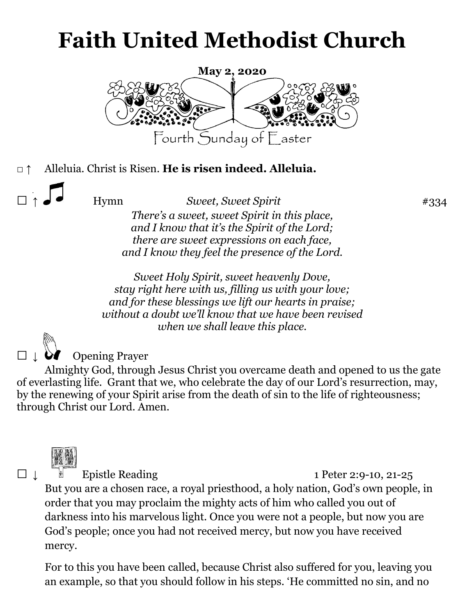## **Faith United Methodist Church**



□ ↑ Alleluia. Christ is Risen. **He is risen indeed. Alleluia.**

□ ↑ Hymn *Sweet, Sweet Spirit* #334

*There's a sweet, sweet Spirit in this place, and I know that it's the Spirit of the Lord; there are sweet expressions on each face, and I know they feel the presence of the Lord.*

*Sweet Holy Spirit, sweet heavenly Dove, stay right here with us, filling us with your love; and for these blessings we lift our hearts in praise; without a doubt we'll know that we have been revised when we shall leave this place.*

### Opening Prayer

Almighty God, through Jesus Christ you overcame death and opened to us the gate of everlasting life. Grant that we, who celebrate the day of our Lord's resurrection, may, by the renewing of your Spirit arise from the death of sin to the life of righteousness; through Christ our Lord. Amen.

□ ↓ ■ Epistle Reading 1 Peter 2:9-10, 21-25 But you are a chosen race, a royal priesthood, a holy nation, God's own people, in order that you may proclaim the mighty acts of him who called you out of darkness into his marvelous light. Once you were not a people, but now you are God's people; once you had not received mercy, but now you have received mercy.

For to this you have been called, because Christ also suffered for you, leaving you an example, so that you should follow in his steps. 'He committed no sin, and no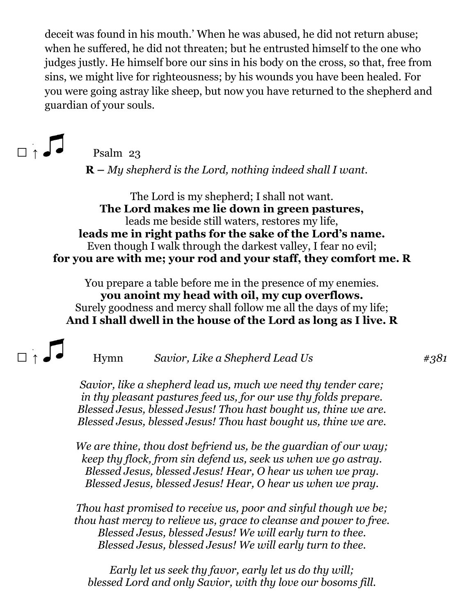deceit was found in his mouth.' When he was abused, he did not return abuse; when he suffered, he did not threaten; but he entrusted himself to the one who judges justly. He himself bore our sins in his body on the cross, so that, free from sins, we might live for righteousness; by his wounds you have been healed. For you were going astray like sheep, but now you have returned to the shepherd and guardian of your souls.

## $\Box$   $\uparrow$  Psalm 23

**R –** *My shepherd is the Lord, nothing indeed shall I want.*

The Lord is my shepherd; I shall not want. **The Lord makes me lie down in green pastures,** leads me beside still waters, restores my life, **leads me in right paths for the sake of the Lord's name.** Even though I walk through the darkest valley, I fear no evil; **for you are with me; your rod and your staff, they comfort me. R**

You prepare a table before me in the presence of my enemies. **you anoint my head with oil, my cup overflows.** Surely goodness and mercy shall follow me all the days of my life; **And I shall dwell in the house of the Lord as long as I live. R**

### □ ↑ Hymn *Savior, Like a Shepherd Lead Us #381*

*Savior, like a shepherd lead us, much we need thy tender care; in thy pleasant pastures feed us, for our use thy folds prepare. Blessed Jesus, blessed Jesus! Thou hast bought us, thine we are. Blessed Jesus, blessed Jesus! Thou hast bought us, thine we are.*

*We are thine, thou dost befriend us, be the guardian of our way; keep thy flock, from sin defend us, seek us when we go astray. Blessed Jesus, blessed Jesus! Hear, O hear us when we pray. Blessed Jesus, blessed Jesus! Hear, O hear us when we pray.*

*Thou hast promised to receive us, poor and sinful though we be; thou hast mercy to relieve us, grace to cleanse and power to free. Blessed Jesus, blessed Jesus! We will early turn to thee. Blessed Jesus, blessed Jesus! We will early turn to thee.*

*Early let us seek thy favor, early let us do thy will; blessed Lord and only Savior, with thy love our bosoms fill.*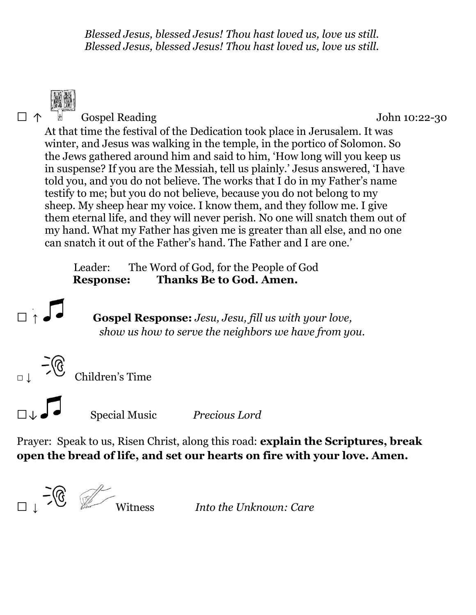*Blessed Jesus, blessed Jesus! Thou hast loved us, love us still. Blessed Jesus, blessed Jesus! Thou hast loved us, love us still.*

 $\Box \uparrow \quad \blacksquare$  Gospel Reading John 10:22-30

At that time the festival of the Dedication took place in Jerusalem. It was winter, and Jesus was walking in the temple, in the portico of Solomon. So the Jews gathered around him and said to him, 'How long will you keep us in suspense? If you are the Messiah, tell us plainly.' Jesus answered, 'I have told you, and you do not believe. The works that I do in my Father's name testify to me; but you do not believe, because you do not belong to my sheep. My sheep hear my voice. I know them, and they follow me. I give them eternal life, and they will never perish. No one will snatch them out of my hand. What my Father has given me is greater than all else, and no one can snatch it out of the Father's hand. The Father and I are one.'

 Leader: The Word of God, for the People of God **Response: Thanks Be to God. Amen.**

> □ <sup>↑</sup> **Gospel Response:** *Jesu, Jesu, fill us with your love, show us how to serve the neighbors we have from you.*

Children's Time

Special Music *Precious Lord* 

Prayer: Speak to us, Risen Christ, along this road: **explain the Scriptures, break open the bread of life, and set our hearts on fire with your love. Amen.**

□ <sup>↓</sup> Witness *Into the Unknown: Care*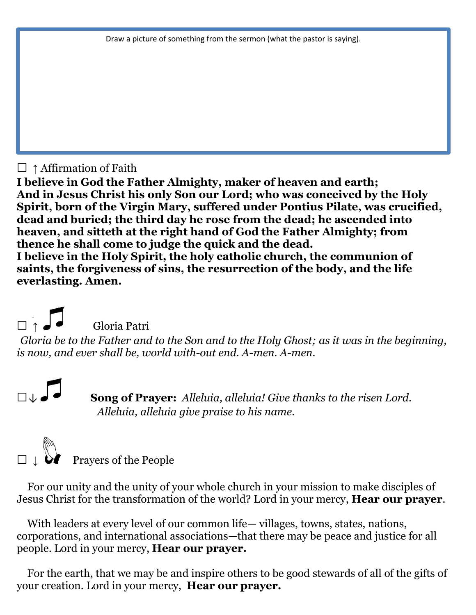### $\Box$  ↑ Affirmation of Faith

**I believe in God the Father Almighty, maker of heaven and earth; And in Jesus Christ his only Son our Lord; who was conceived by the Holy Spirit, born of the Virgin Mary, suffered under Pontius Pilate, was crucified, dead and buried; the third day he rose from the dead; he ascended into heaven, and sitteth at the right hand of God the Father Almighty; from thence he shall come to judge the quick and the dead. I believe in the Holy Spirit, the holy catholic church, the communion of saints, the forgiveness of sins, the resurrection of the body, and the life everlasting. Amen.** Ĭ

Gloria Patri

*Gloria be to the Father and to the Son and to the Holy Ghost; as it was in the beginning, is now, and ever shall be, world with-out end. A-men. A-men.*

**Song of Prayer:** Alleluia, alleluia! Give thanks to the risen Lord. *Alleluia, alleluia give praise to his name.*

# Prayers of the People

 For our unity and the unity of your whole church in your mission to make disciples of Jesus Christ for the transformation of the world? Lord in your mercy, **Hear our prayer**.

With leaders at every level of our common life— villages, towns, states, nations, corporations, and international associations—that there may be peace and justice for all people. Lord in your mercy, **Hear our prayer.**

 For the earth, that we may be and inspire others to be good stewards of all of the gifts of your creation. Lord in your mercy, **Hear our prayer.**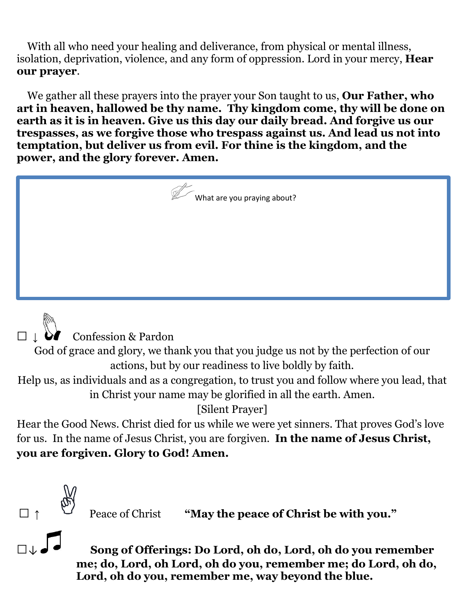With all who need your healing and deliverance, from physical or mental illness, isolation, deprivation, violence, and any form of oppression. Lord in your mercy, **Hear our prayer**.

 We gather all these prayers into the prayer your Son taught to us, **Our Father, who art in heaven, hallowed be thy name. Thy kingdom come, thy will be done on earth as it is in heaven. Give us this day our daily bread. And forgive us our trespasses, as we forgive those who trespass against us. And lead us not into temptation, but deliver us from evil. For thine is the kingdom, and the power, and the glory forever. Amen.**



□ ↓ Confession & Pardon

God of grace and glory, we thank you that you judge us not by the perfection of our actions, but by our readiness to live boldly by faith.

Help us, as individuals and as a congregation, to trust you and follow where you lead, that in Christ your name may be glorified in all the earth. Amen.

[Silent Prayer]

Hear the Good News. Christ died for us while we were yet sinners. That proves God's love for us. In the name of Jesus Christ, you are forgiven. **In the name of Jesus Christ, you are forgiven. Glory to God! Amen.**



Peace of Christ **"May the peace of Christ be with you."** 

Song of Offerings: Do Lord, oh do, Lord, oh do you remember **me; do, Lord, oh Lord, oh do you, remember me; do Lord, oh do, Lord, oh do you, remember me, way beyond the blue.**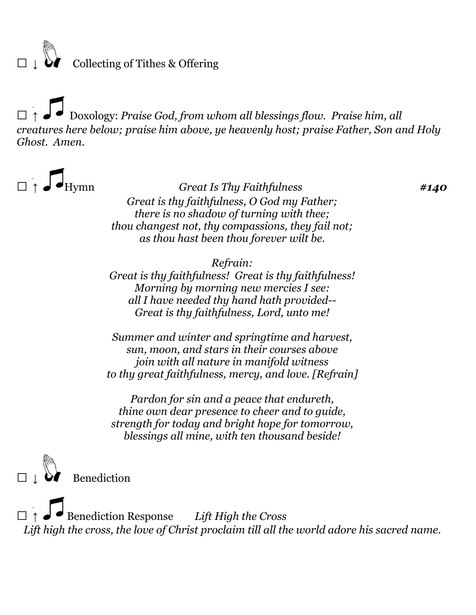

□ ↑ Doxology: *Praise God, from whom all blessings flow. Praise him, all creatures here below; praise him above, ye heavenly host; praise Father, Son and Holy Ghost. Amen.*



Great Is Thy Faithfulness **#140** *Great is thy faithfulness, O God my Father; there is no shadow of turning with thee; thou changest not, thy compassions, they fail not; as thou hast been thou forever wilt be.* 

*Refrain:* 

*Great is thy faithfulness! Great is thy faithfulness! Morning by morning new mercies I see: all I have needed thy hand hath provided-- Great is thy faithfulness, Lord, unto me!*

*Summer and winter and springtime and harvest, sun, moon, and stars in their courses above join with all nature in manifold witness to thy great faithfulness, mercy, and love. [Refrain]*

*Pardon for sin and a peace that endureth, thine own dear presence to cheer and to guide, strength for today and bright hope for tomorrow, blessings all mine, with ten thousand beside!* 

 $\mathbb{U}$  Benediction

□ ↑ Benediction Response *Lift High the Cross Lift high the cross, the love of Christ proclaim till all the world adore his sacred name.*